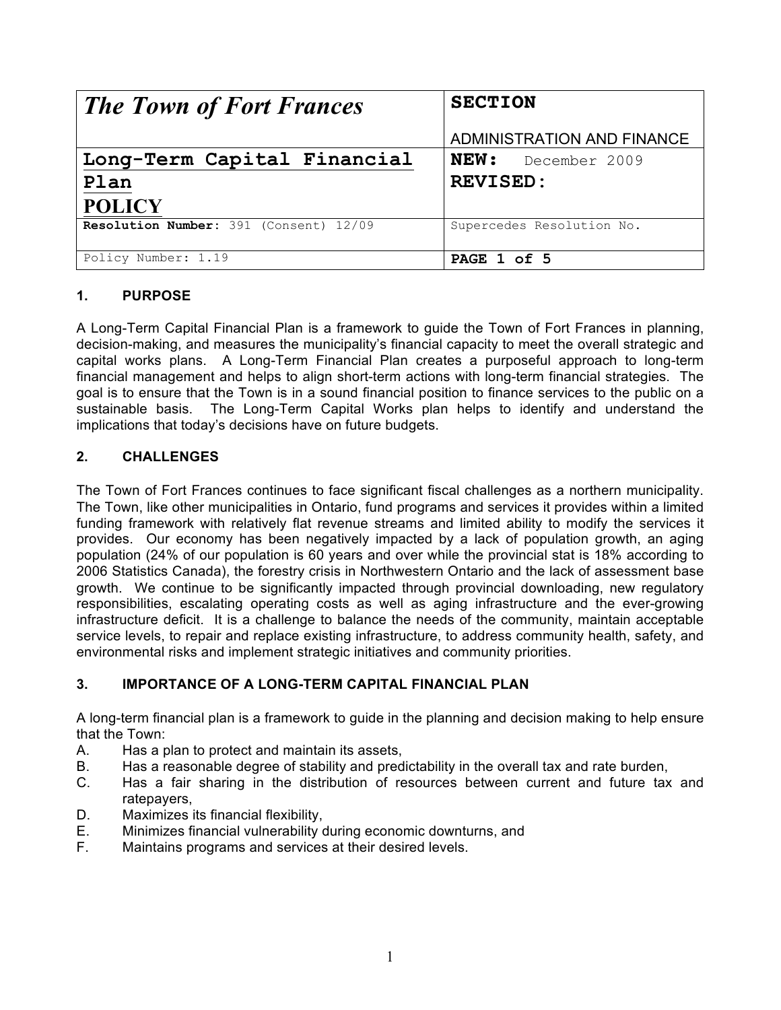| <b>The Town of Fort Frances</b>        | <b>SECTION</b>             |
|----------------------------------------|----------------------------|
|                                        | ADMINISTRATION AND FINANCE |
| Long-Term Capital Financial            | <b>NEW:</b> December 2009  |
| Plan                                   | <b>REVISED:</b>            |
| <b>POLICY</b>                          |                            |
| Resolution Number: 391 (Consent) 12/09 | Supercedes Resolution No.  |
| Policy Number: 1.19                    | PAGE 1 of 5                |

# **1. PURPOSE**

A Long-Term Capital Financial Plan is a framework to guide the Town of Fort Frances in planning, decision-making, and measures the municipality's financial capacity to meet the overall strategic and capital works plans. A Long-Term Financial Plan creates a purposeful approach to long-term financial management and helps to align short-term actions with long-term financial strategies. The goal is to ensure that the Town is in a sound financial position to finance services to the public on a sustainable basis. The Long-Term Capital Works plan helps to identify and understand the implications that today's decisions have on future budgets.

## **2. CHALLENGES**

The Town of Fort Frances continues to face significant fiscal challenges as a northern municipality. The Town, like other municipalities in Ontario, fund programs and services it provides within a limited funding framework with relatively flat revenue streams and limited ability to modify the services it provides. Our economy has been negatively impacted by a lack of population growth, an aging population (24% of our population is 60 years and over while the provincial stat is 18% according to 2006 Statistics Canada), the forestry crisis in Northwestern Ontario and the lack of assessment base growth. We continue to be significantly impacted through provincial downloading, new regulatory responsibilities, escalating operating costs as well as aging infrastructure and the ever-growing infrastructure deficit. It is a challenge to balance the needs of the community, maintain acceptable service levels, to repair and replace existing infrastructure, to address community health, safety, and environmental risks and implement strategic initiatives and community priorities.

## **3. IMPORTANCE OF A LONG-TERM CAPITAL FINANCIAL PLAN**

A long-term financial plan is a framework to guide in the planning and decision making to help ensure that the Town:

- A. Has a plan to protect and maintain its assets,
- B. Has a reasonable degree of stability and predictability in the overall tax and rate burden,
- C. Has a fair sharing in the distribution of resources between current and future tax and ratepayers,
- D. Maximizes its financial flexibility,
- E. Minimizes financial vulnerability during economic downturns, and
- F. Maintains programs and services at their desired levels.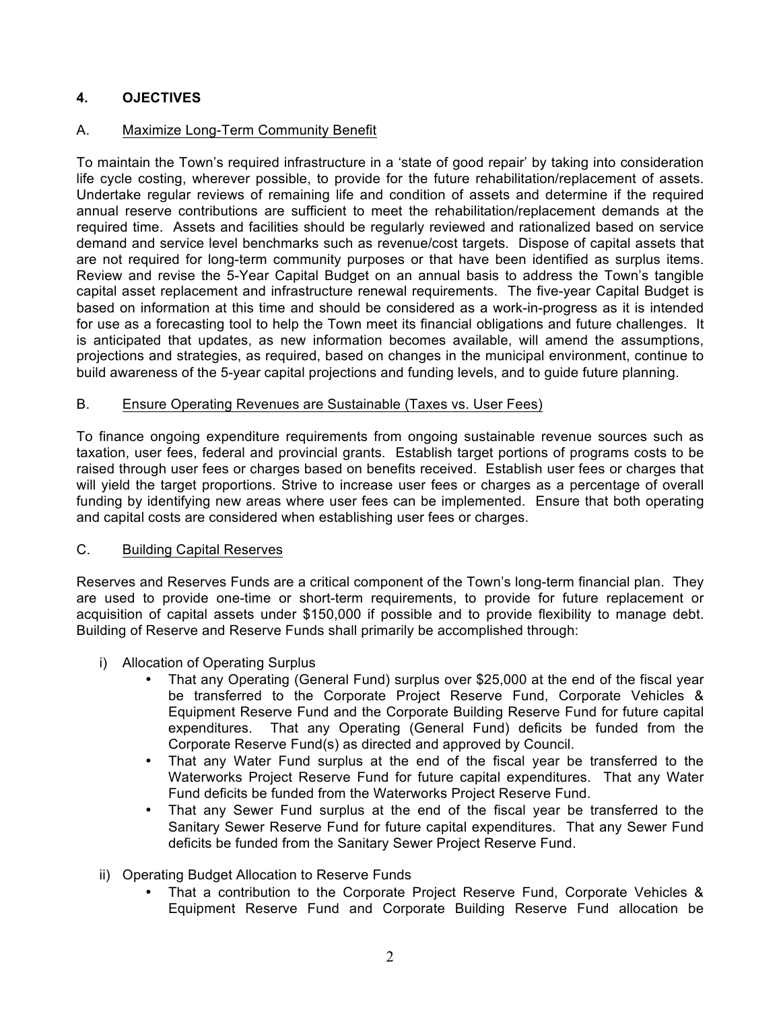# **4. OJECTIVES**

## A. Maximize Long-Term Community Benefit

To maintain the Town's required infrastructure in a 'state of good repair' by taking into consideration life cycle costing, wherever possible, to provide for the future rehabilitation/replacement of assets. Undertake regular reviews of remaining life and condition of assets and determine if the required annual reserve contributions are sufficient to meet the rehabilitation/replacement demands at the required time. Assets and facilities should be regularly reviewed and rationalized based on service demand and service level benchmarks such as revenue/cost targets. Dispose of capital assets that are not required for long-term community purposes or that have been identified as surplus items. Review and revise the 5-Year Capital Budget on an annual basis to address the Town's tangible capital asset replacement and infrastructure renewal requirements. The five-year Capital Budget is based on information at this time and should be considered as a work-in-progress as it is intended for use as a forecasting tool to help the Town meet its financial obligations and future challenges. It is anticipated that updates, as new information becomes available, will amend the assumptions, projections and strategies, as required, based on changes in the municipal environment, continue to build awareness of the 5-year capital projections and funding levels, and to guide future planning.

#### B. Ensure Operating Revenues are Sustainable (Taxes vs. User Fees)

To finance ongoing expenditure requirements from ongoing sustainable revenue sources such as taxation, user fees, federal and provincial grants. Establish target portions of programs costs to be raised through user fees or charges based on benefits received. Establish user fees or charges that will yield the target proportions. Strive to increase user fees or charges as a percentage of overall funding by identifying new areas where user fees can be implemented. Ensure that both operating and capital costs are considered when establishing user fees or charges.

#### C. Building Capital Reserves

Reserves and Reserves Funds are a critical component of the Town's long-term financial plan. They are used to provide one-time or short-term requirements, to provide for future replacement or acquisition of capital assets under \$150,000 if possible and to provide flexibility to manage debt. Building of Reserve and Reserve Funds shall primarily be accomplished through:

- i) Allocation of Operating Surplus
	- That any Operating (General Fund) surplus over \$25,000 at the end of the fiscal year be transferred to the Corporate Project Reserve Fund, Corporate Vehicles & Equipment Reserve Fund and the Corporate Building Reserve Fund for future capital expenditures. That any Operating (General Fund) deficits be funded from the Corporate Reserve Fund(s) as directed and approved by Council.
	- That any Water Fund surplus at the end of the fiscal year be transferred to the Waterworks Project Reserve Fund for future capital expenditures. That any Water Fund deficits be funded from the Waterworks Project Reserve Fund.
	- That any Sewer Fund surplus at the end of the fiscal year be transferred to the Sanitary Sewer Reserve Fund for future capital expenditures. That any Sewer Fund deficits be funded from the Sanitary Sewer Project Reserve Fund.
- ii) Operating Budget Allocation to Reserve Funds
	- That a contribution to the Corporate Project Reserve Fund, Corporate Vehicles & Equipment Reserve Fund and Corporate Building Reserve Fund allocation be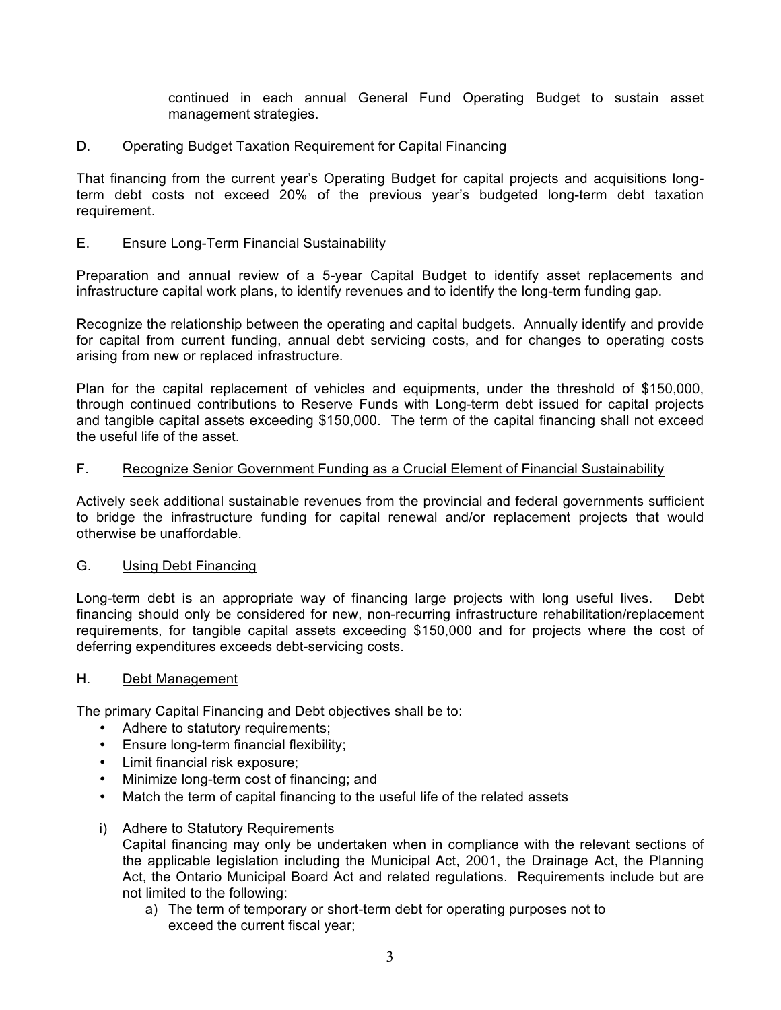continued in each annual General Fund Operating Budget to sustain asset management strategies.

### D. Operating Budget Taxation Requirement for Capital Financing

That financing from the current year's Operating Budget for capital projects and acquisitions longterm debt costs not exceed 20% of the previous year's budgeted long-term debt taxation requirement.

### E. Ensure Long-Term Financial Sustainability

Preparation and annual review of a 5-year Capital Budget to identify asset replacements and infrastructure capital work plans, to identify revenues and to identify the long-term funding gap.

Recognize the relationship between the operating and capital budgets. Annually identify and provide for capital from current funding, annual debt servicing costs, and for changes to operating costs arising from new or replaced infrastructure.

Plan for the capital replacement of vehicles and equipments, under the threshold of \$150,000, through continued contributions to Reserve Funds with Long-term debt issued for capital projects and tangible capital assets exceeding \$150,000. The term of the capital financing shall not exceed the useful life of the asset.

#### F. Recognize Senior Government Funding as a Crucial Element of Financial Sustainability

Actively seek additional sustainable revenues from the provincial and federal governments sufficient to bridge the infrastructure funding for capital renewal and/or replacement projects that would otherwise be unaffordable.

#### G. Using Debt Financing

Long-term debt is an appropriate way of financing large projects with long useful lives. Debt financing should only be considered for new, non-recurring infrastructure rehabilitation/replacement requirements, for tangible capital assets exceeding \$150,000 and for projects where the cost of deferring expenditures exceeds debt-servicing costs.

#### H. Debt Management

The primary Capital Financing and Debt objectives shall be to:

- Adhere to statutory requirements;
- Ensure long-term financial flexibility;
- Limit financial risk exposure;
- Minimize long-term cost of financing; and
- Match the term of capital financing to the useful life of the related assets
- i) Adhere to Statutory Requirements

Capital financing may only be undertaken when in compliance with the relevant sections of the applicable legislation including the Municipal Act, 2001, the Drainage Act, the Planning Act, the Ontario Municipal Board Act and related regulations. Requirements include but are not limited to the following:

a) The term of temporary or short-term debt for operating purposes not to exceed the current fiscal year;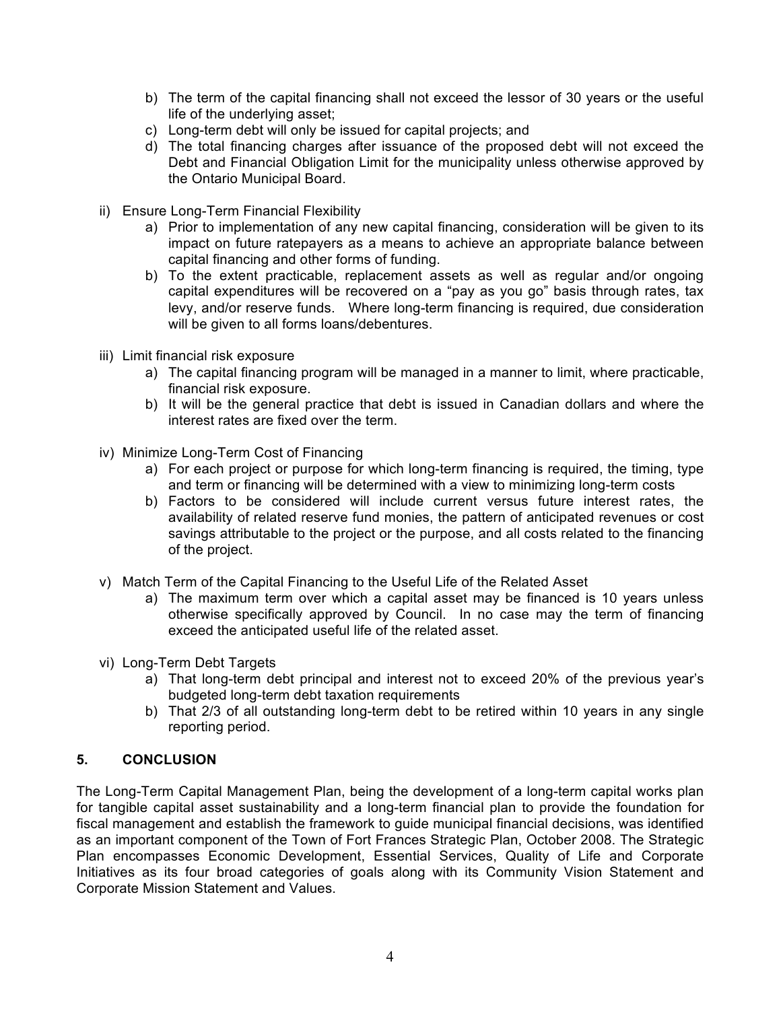- b) The term of the capital financing shall not exceed the lessor of 30 years or the useful life of the underlying asset;
- c) Long-term debt will only be issued for capital projects; and
- d) The total financing charges after issuance of the proposed debt will not exceed the Debt and Financial Obligation Limit for the municipality unless otherwise approved by the Ontario Municipal Board.
- ii) Ensure Long-Term Financial Flexibility
	- a) Prior to implementation of any new capital financing, consideration will be given to its impact on future ratepayers as a means to achieve an appropriate balance between capital financing and other forms of funding.
	- b) To the extent practicable, replacement assets as well as regular and/or ongoing capital expenditures will be recovered on a "pay as you go" basis through rates, tax levy, and/or reserve funds. Where long-term financing is required, due consideration will be given to all forms loans/debentures.
- iii) Limit financial risk exposure
	- a) The capital financing program will be managed in a manner to limit, where practicable, financial risk exposure.
	- b) It will be the general practice that debt is issued in Canadian dollars and where the interest rates are fixed over the term.
- iv) Minimize Long-Term Cost of Financing
	- a) For each project or purpose for which long-term financing is required, the timing, type and term or financing will be determined with a view to minimizing long-term costs
	- b) Factors to be considered will include current versus future interest rates, the availability of related reserve fund monies, the pattern of anticipated revenues or cost savings attributable to the project or the purpose, and all costs related to the financing of the project.
- v) Match Term of the Capital Financing to the Useful Life of the Related Asset
	- a) The maximum term over which a capital asset may be financed is 10 years unless otherwise specifically approved by Council. In no case may the term of financing exceed the anticipated useful life of the related asset.
- vi) Long-Term Debt Targets
	- a) That long-term debt principal and interest not to exceed 20% of the previous year's budgeted long-term debt taxation requirements
	- b) That 2/3 of all outstanding long-term debt to be retired within 10 years in any single reporting period.

#### **5. CONCLUSION**

The Long-Term Capital Management Plan, being the development of a long-term capital works plan for tangible capital asset sustainability and a long-term financial plan to provide the foundation for fiscal management and establish the framework to guide municipal financial decisions, was identified as an important component of the Town of Fort Frances Strategic Plan, October 2008. The Strategic Plan encompasses Economic Development, Essential Services, Quality of Life and Corporate Initiatives as its four broad categories of goals along with its Community Vision Statement and Corporate Mission Statement and Values.